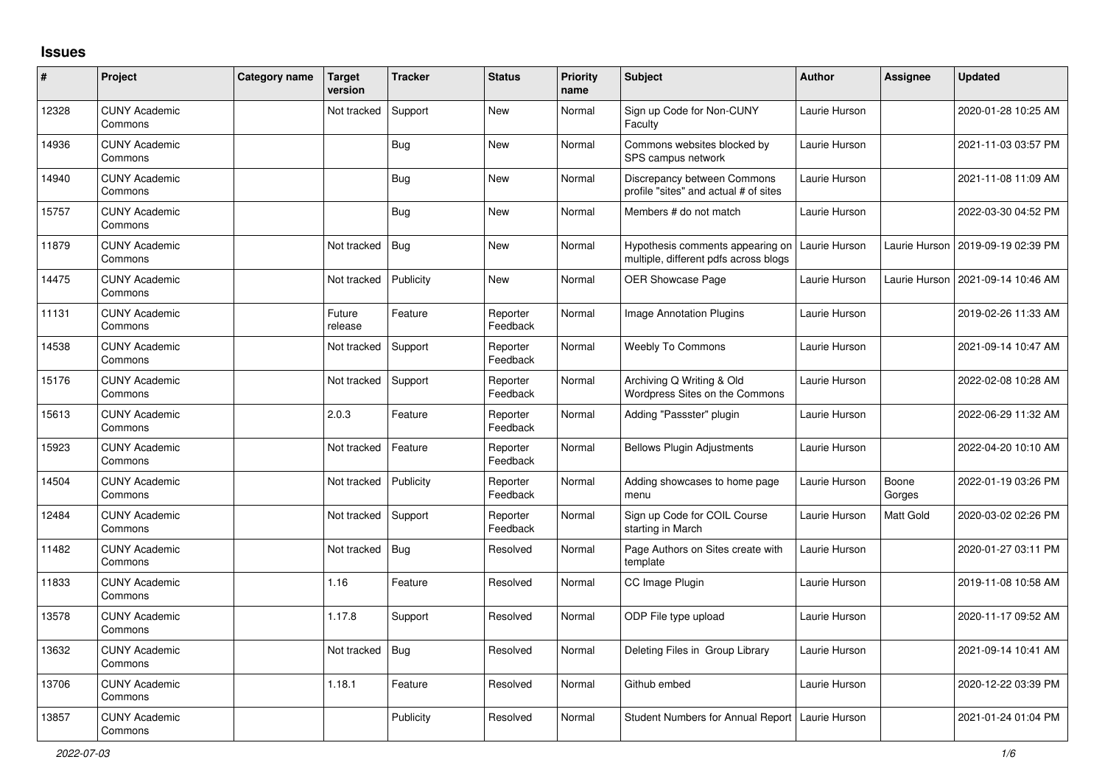## **Issues**

| #     | Project                         | Category name | <b>Target</b><br>version | <b>Tracker</b> | <b>Status</b>        | <b>Priority</b><br>name | <b>Subject</b>                                                            | Author        | <b>Assignee</b> | <b>Updated</b>      |
|-------|---------------------------------|---------------|--------------------------|----------------|----------------------|-------------------------|---------------------------------------------------------------------------|---------------|-----------------|---------------------|
| 12328 | <b>CUNY Academic</b><br>Commons |               | Not tracked              | Support        | New                  | Normal                  | Sign up Code for Non-CUNY<br>Faculty                                      | Laurie Hurson |                 | 2020-01-28 10:25 AM |
| 14936 | <b>CUNY Academic</b><br>Commons |               |                          | <b>Bug</b>     | New                  | Normal                  | Commons websites blocked by<br>SPS campus network                         | Laurie Hurson |                 | 2021-11-03 03:57 PM |
| 14940 | <b>CUNY Academic</b><br>Commons |               |                          | <b>Bug</b>     | New                  | Normal                  | Discrepancy between Commons<br>profile "sites" and actual # of sites      | Laurie Hurson |                 | 2021-11-08 11:09 AM |
| 15757 | <b>CUNY Academic</b><br>Commons |               |                          | <b>Bug</b>     | New                  | Normal                  | Members # do not match                                                    | Laurie Hurson |                 | 2022-03-30 04:52 PM |
| 11879 | <b>CUNY Academic</b><br>Commons |               | Not tracked              | <b>Bug</b>     | New                  | Normal                  | Hypothesis comments appearing on<br>multiple, different pdfs across blogs | Laurie Hurson | Laurie Hurson   | 2019-09-19 02:39 PM |
| 14475 | <b>CUNY Academic</b><br>Commons |               | Not tracked              | Publicity      | <b>New</b>           | Normal                  | <b>OER Showcase Page</b>                                                  | Laurie Hurson | Laurie Hurson   | 2021-09-14 10:46 AM |
| 11131 | <b>CUNY Academic</b><br>Commons |               | Future<br>release        | Feature        | Reporter<br>Feedback | Normal                  | Image Annotation Plugins                                                  | Laurie Hurson |                 | 2019-02-26 11:33 AM |
| 14538 | <b>CUNY Academic</b><br>Commons |               | Not tracked              | Support        | Reporter<br>Feedback | Normal                  | <b>Weebly To Commons</b>                                                  | Laurie Hurson |                 | 2021-09-14 10:47 AM |
| 15176 | <b>CUNY Academic</b><br>Commons |               | Not tracked              | Support        | Reporter<br>Feedback | Normal                  | Archiving Q Writing & Old<br>Wordpress Sites on the Commons               | Laurie Hurson |                 | 2022-02-08 10:28 AM |
| 15613 | <b>CUNY Academic</b><br>Commons |               | 2.0.3                    | Feature        | Reporter<br>Feedback | Normal                  | Adding "Passster" plugin                                                  | Laurie Hurson |                 | 2022-06-29 11:32 AM |
| 15923 | <b>CUNY Academic</b><br>Commons |               | Not tracked              | Feature        | Reporter<br>Feedback | Normal                  | <b>Bellows Plugin Adjustments</b>                                         | Laurie Hurson |                 | 2022-04-20 10:10 AM |
| 14504 | <b>CUNY Academic</b><br>Commons |               | Not tracked              | Publicity      | Reporter<br>Feedback | Normal                  | Adding showcases to home page<br>menu                                     | Laurie Hurson | Boone<br>Gorges | 2022-01-19 03:26 PM |
| 12484 | <b>CUNY Academic</b><br>Commons |               | Not tracked              | Support        | Reporter<br>Feedback | Normal                  | Sign up Code for COIL Course<br>starting in March                         | Laurie Hurson | Matt Gold       | 2020-03-02 02:26 PM |
| 11482 | <b>CUNY Academic</b><br>Commons |               | Not tracked              | Bug            | Resolved             | Normal                  | Page Authors on Sites create with<br>template                             | Laurie Hurson |                 | 2020-01-27 03:11 PM |
| 11833 | <b>CUNY Academic</b><br>Commons |               | 1.16                     | Feature        | Resolved             | Normal                  | CC Image Plugin                                                           | Laurie Hurson |                 | 2019-11-08 10:58 AM |
| 13578 | <b>CUNY Academic</b><br>Commons |               | 1.17.8                   | Support        | Resolved             | Normal                  | ODP File type upload                                                      | Laurie Hurson |                 | 2020-11-17 09:52 AM |
| 13632 | <b>CUNY Academic</b><br>Commons |               | Not tracked              | <b>Bug</b>     | Resolved             | Normal                  | Deleting Files in Group Library                                           | Laurie Hurson |                 | 2021-09-14 10:41 AM |
| 13706 | <b>CUNY Academic</b><br>Commons |               | 1.18.1                   | Feature        | Resolved             | Normal                  | Github embed                                                              | Laurie Hurson |                 | 2020-12-22 03:39 PM |
| 13857 | <b>CUNY Academic</b><br>Commons |               |                          | Publicity      | Resolved             | Normal                  | <b>Student Numbers for Annual Report</b>                                  | Laurie Hurson |                 | 2021-01-24 01:04 PM |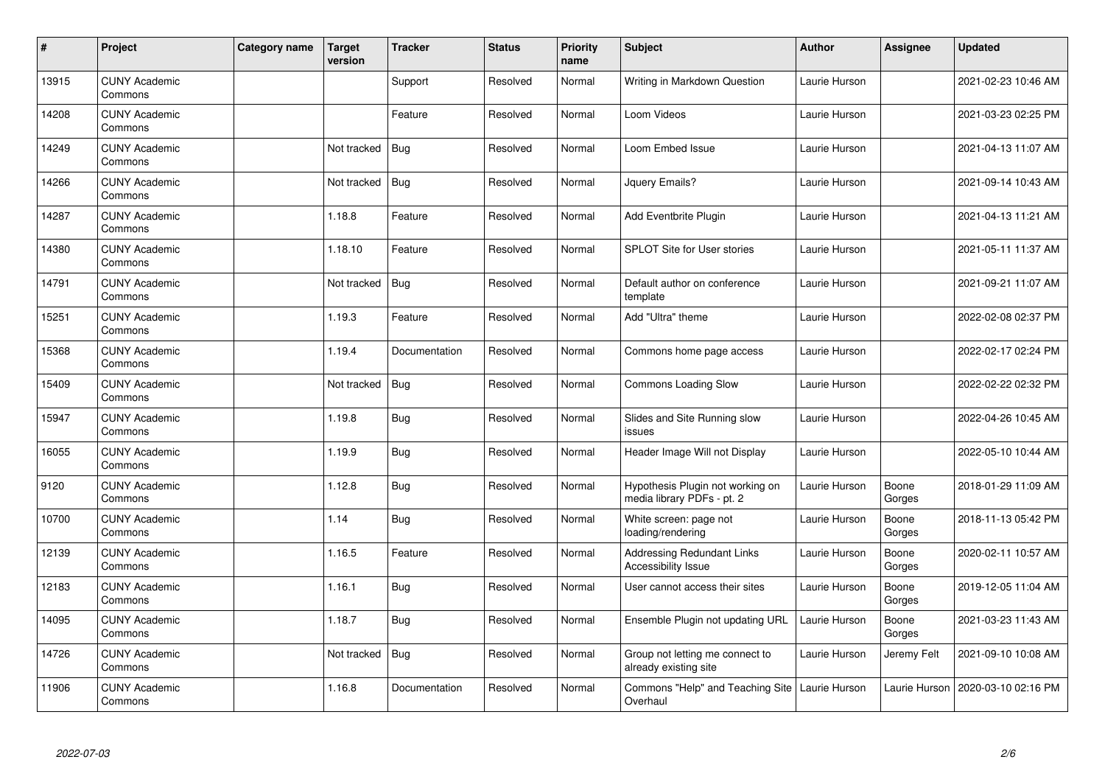| $\sharp$ | Project                         | Category name | Target<br>version | <b>Tracker</b> | <b>Status</b> | <b>Priority</b><br>name | <b>Subject</b>                                                 | <b>Author</b> | Assignee        | <b>Updated</b>      |
|----------|---------------------------------|---------------|-------------------|----------------|---------------|-------------------------|----------------------------------------------------------------|---------------|-----------------|---------------------|
| 13915    | <b>CUNY Academic</b><br>Commons |               |                   | Support        | Resolved      | Normal                  | Writing in Markdown Question                                   | Laurie Hurson |                 | 2021-02-23 10:46 AM |
| 14208    | <b>CUNY Academic</b><br>Commons |               |                   | Feature        | Resolved      | Normal                  | Loom Videos                                                    | Laurie Hurson |                 | 2021-03-23 02:25 PM |
| 14249    | <b>CUNY Academic</b><br>Commons |               | Not tracked       | <b>Bug</b>     | Resolved      | Normal                  | Loom Embed Issue                                               | Laurie Hurson |                 | 2021-04-13 11:07 AM |
| 14266    | <b>CUNY Academic</b><br>Commons |               | Not tracked       | Bug            | Resolved      | Normal                  | Jquery Emails?                                                 | Laurie Hurson |                 | 2021-09-14 10:43 AM |
| 14287    | <b>CUNY Academic</b><br>Commons |               | 1.18.8            | Feature        | Resolved      | Normal                  | Add Eventbrite Plugin                                          | Laurie Hurson |                 | 2021-04-13 11:21 AM |
| 14380    | <b>CUNY Academic</b><br>Commons |               | 1.18.10           | Feature        | Resolved      | Normal                  | <b>SPLOT Site for User stories</b>                             | Laurie Hurson |                 | 2021-05-11 11:37 AM |
| 14791    | <b>CUNY Academic</b><br>Commons |               | Not tracked       | <b>Bug</b>     | Resolved      | Normal                  | Default author on conference<br>template                       | Laurie Hurson |                 | 2021-09-21 11:07 AM |
| 15251    | <b>CUNY Academic</b><br>Commons |               | 1.19.3            | Feature        | Resolved      | Normal                  | Add "Ultra" theme                                              | Laurie Hurson |                 | 2022-02-08 02:37 PM |
| 15368    | <b>CUNY Academic</b><br>Commons |               | 1.19.4            | Documentation  | Resolved      | Normal                  | Commons home page access                                       | Laurie Hurson |                 | 2022-02-17 02:24 PM |
| 15409    | <b>CUNY Academic</b><br>Commons |               | Not tracked       | <b>Bug</b>     | Resolved      | Normal                  | <b>Commons Loading Slow</b>                                    | Laurie Hurson |                 | 2022-02-22 02:32 PM |
| 15947    | <b>CUNY Academic</b><br>Commons |               | 1.19.8            | <b>Bug</b>     | Resolved      | Normal                  | Slides and Site Running slow<br>issues                         | Laurie Hurson |                 | 2022-04-26 10:45 AM |
| 16055    | <b>CUNY Academic</b><br>Commons |               | 1.19.9            | <b>Bug</b>     | Resolved      | Normal                  | Header Image Will not Display                                  | Laurie Hurson |                 | 2022-05-10 10:44 AM |
| 9120     | <b>CUNY Academic</b><br>Commons |               | 1.12.8            | <b>Bug</b>     | Resolved      | Normal                  | Hypothesis Plugin not working on<br>media library PDFs - pt. 2 | Laurie Hurson | Boone<br>Gorges | 2018-01-29 11:09 AM |
| 10700    | <b>CUNY Academic</b><br>Commons |               | 1.14              | Bug            | Resolved      | Normal                  | White screen: page not<br>loading/rendering                    | Laurie Hurson | Boone<br>Gorges | 2018-11-13 05:42 PM |
| 12139    | <b>CUNY Academic</b><br>Commons |               | 1.16.5            | Feature        | Resolved      | Normal                  | Addressing Redundant Links<br>Accessibility Issue              | Laurie Hurson | Boone<br>Gorges | 2020-02-11 10:57 AM |
| 12183    | <b>CUNY Academic</b><br>Commons |               | 1.16.1            | Bug            | Resolved      | Normal                  | User cannot access their sites                                 | Laurie Hurson | Boone<br>Gorges | 2019-12-05 11:04 AM |
| 14095    | <b>CUNY Academic</b><br>Commons |               | 1.18.7            | <b>Bug</b>     | Resolved      | Normal                  | Ensemble Plugin not updating URL                               | Laurie Hurson | Boone<br>Gorges | 2021-03-23 11:43 AM |
| 14726    | <b>CUNY Academic</b><br>Commons |               | Not tracked       | <b>Bug</b>     | Resolved      | Normal                  | Group not letting me connect to<br>already existing site       | Laurie Hurson | Jeremy Felt     | 2021-09-10 10:08 AM |
| 11906    | <b>CUNY Academic</b><br>Commons |               | 1.16.8            | Documentation  | Resolved      | Normal                  | Commons "Help" and Teaching Site<br>Overhaul                   | Laurie Hurson | Laurie Hurson   | 2020-03-10 02:16 PM |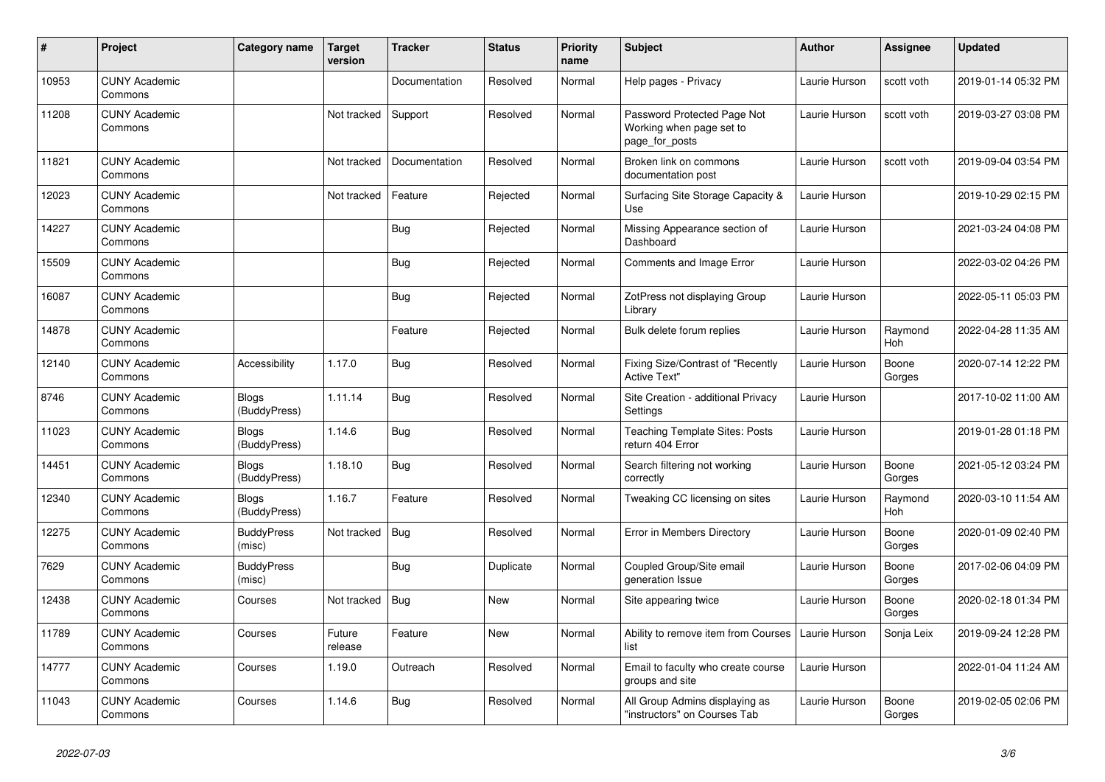| #     | Project                         | Category name                | Target<br>version | <b>Tracker</b> | <b>Status</b> | <b>Priority</b><br>name | <b>Subject</b>                                                            | <b>Author</b> | <b>Assignee</b>       | <b>Updated</b>      |
|-------|---------------------------------|------------------------------|-------------------|----------------|---------------|-------------------------|---------------------------------------------------------------------------|---------------|-----------------------|---------------------|
| 10953 | <b>CUNY Academic</b><br>Commons |                              |                   | Documentation  | Resolved      | Normal                  | Help pages - Privacy                                                      | Laurie Hurson | scott voth            | 2019-01-14 05:32 PM |
| 11208 | <b>CUNY Academic</b><br>Commons |                              | Not tracked       | Support        | Resolved      | Normal                  | Password Protected Page Not<br>Working when page set to<br>page_for_posts | Laurie Hurson | scott voth            | 2019-03-27 03:08 PM |
| 11821 | <b>CUNY Academic</b><br>Commons |                              | Not tracked       | Documentation  | Resolved      | Normal                  | Broken link on commons<br>documentation post                              | Laurie Hurson | scott voth            | 2019-09-04 03:54 PM |
| 12023 | <b>CUNY Academic</b><br>Commons |                              | Not tracked       | Feature        | Rejected      | Normal                  | Surfacing Site Storage Capacity &<br>Use                                  | Laurie Hurson |                       | 2019-10-29 02:15 PM |
| 14227 | <b>CUNY Academic</b><br>Commons |                              |                   | Bug            | Rejected      | Normal                  | Missing Appearance section of<br>Dashboard                                | Laurie Hurson |                       | 2021-03-24 04:08 PM |
| 15509 | <b>CUNY Academic</b><br>Commons |                              |                   | Bug            | Rejected      | Normal                  | Comments and Image Error                                                  | Laurie Hurson |                       | 2022-03-02 04:26 PM |
| 16087 | <b>CUNY Academic</b><br>Commons |                              |                   | <b>Bug</b>     | Rejected      | Normal                  | ZotPress not displaying Group<br>Library                                  | Laurie Hurson |                       | 2022-05-11 05:03 PM |
| 14878 | <b>CUNY Academic</b><br>Commons |                              |                   | Feature        | Rejected      | Normal                  | Bulk delete forum replies                                                 | Laurie Hurson | Raymond<br><b>Hoh</b> | 2022-04-28 11:35 AM |
| 12140 | <b>CUNY Academic</b><br>Commons | Accessibility                | 1.17.0            | Bug            | Resolved      | Normal                  | Fixing Size/Contrast of "Recently<br><b>Active Text"</b>                  | Laurie Hurson | Boone<br>Gorges       | 2020-07-14 12:22 PM |
| 8746  | <b>CUNY Academic</b><br>Commons | <b>Blogs</b><br>(BuddyPress) | 1.11.14           | <b>Bug</b>     | Resolved      | Normal                  | Site Creation - additional Privacy<br>Settings                            | Laurie Hurson |                       | 2017-10-02 11:00 AM |
| 11023 | <b>CUNY Academic</b><br>Commons | <b>Blogs</b><br>(BuddyPress) | 1.14.6            | <b>Bug</b>     | Resolved      | Normal                  | <b>Teaching Template Sites: Posts</b><br>return 404 Error                 | Laurie Hurson |                       | 2019-01-28 01:18 PM |
| 14451 | <b>CUNY Academic</b><br>Commons | <b>Blogs</b><br>(BuddyPress) | 1.18.10           | <b>Bug</b>     | Resolved      | Normal                  | Search filtering not working<br>correctly                                 | Laurie Hurson | Boone<br>Gorges       | 2021-05-12 03:24 PM |
| 12340 | <b>CUNY Academic</b><br>Commons | <b>Blogs</b><br>(BuddyPress) | 1.16.7            | Feature        | Resolved      | Normal                  | Tweaking CC licensing on sites                                            | Laurie Hurson | Raymond<br>Hoh        | 2020-03-10 11:54 AM |
| 12275 | <b>CUNY Academic</b><br>Commons | <b>BuddyPress</b><br>(misc)  | Not tracked       | <b>Bug</b>     | Resolved      | Normal                  | Error in Members Directory                                                | Laurie Hurson | Boone<br>Gorges       | 2020-01-09 02:40 PM |
| 7629  | <b>CUNY Academic</b><br>Commons | <b>BuddyPress</b><br>(misc)  |                   | Bug            | Duplicate     | Normal                  | Coupled Group/Site email<br>generation Issue                              | Laurie Hurson | Boone<br>Gorges       | 2017-02-06 04:09 PM |
| 12438 | <b>CUNY Academic</b><br>Commons | Courses                      | Not tracked       | <b>Bug</b>     | New           | Normal                  | Site appearing twice                                                      | Laurie Hurson | Boone<br>Gorges       | 2020-02-18 01:34 PM |
| 11789 | <b>CUNY Academic</b><br>Commons | Courses                      | Future<br>release | Feature        | <b>New</b>    | Normal                  | Ability to remove item from Courses<br>list                               | Laurie Hurson | Sonja Leix            | 2019-09-24 12:28 PM |
| 14777 | <b>CUNY Academic</b><br>Commons | Courses                      | 1.19.0            | Outreach       | Resolved      | Normal                  | Email to faculty who create course<br>groups and site                     | Laurie Hurson |                       | 2022-01-04 11:24 AM |
| 11043 | <b>CUNY Academic</b><br>Commons | Courses                      | 1.14.6            | <b>Bug</b>     | Resolved      | Normal                  | All Group Admins displaying as<br>"instructors" on Courses Tab            | Laurie Hurson | Boone<br>Gorges       | 2019-02-05 02:06 PM |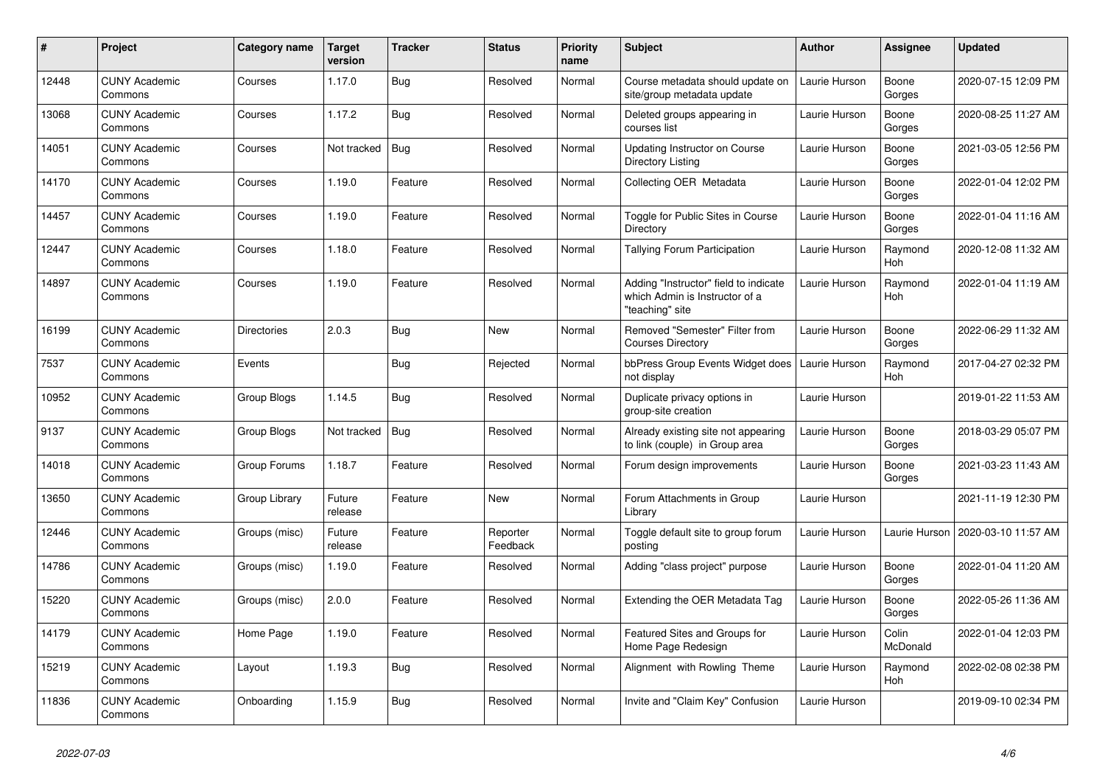| $\#$  | <b>Project</b>                  | Category name      | <b>Target</b><br>version | <b>Tracker</b> | <b>Status</b>        | <b>Priority</b><br>name | <b>Subject</b>                                                                             | <b>Author</b> | Assignee          | Updated             |
|-------|---------------------------------|--------------------|--------------------------|----------------|----------------------|-------------------------|--------------------------------------------------------------------------------------------|---------------|-------------------|---------------------|
| 12448 | <b>CUNY Academic</b><br>Commons | Courses            | 1.17.0                   | Bug            | Resolved             | Normal                  | Course metadata should update on<br>site/group metadata update                             | Laurie Hurson | Boone<br>Gorges   | 2020-07-15 12:09 PM |
| 13068 | <b>CUNY Academic</b><br>Commons | Courses            | 1.17.2                   | <b>Bug</b>     | Resolved             | Normal                  | Deleted groups appearing in<br>courses list                                                | Laurie Hurson | Boone<br>Gorges   | 2020-08-25 11:27 AM |
| 14051 | <b>CUNY Academic</b><br>Commons | Courses            | Not tracked              | Bug            | Resolved             | Normal                  | Updating Instructor on Course<br>Directory Listing                                         | Laurie Hurson | Boone<br>Gorges   | 2021-03-05 12:56 PM |
| 14170 | <b>CUNY Academic</b><br>Commons | Courses            | 1.19.0                   | Feature        | Resolved             | Normal                  | Collecting OER Metadata                                                                    | Laurie Hurson | Boone<br>Gorges   | 2022-01-04 12:02 PM |
| 14457 | <b>CUNY Academic</b><br>Commons | Courses            | 1.19.0                   | Feature        | Resolved             | Normal                  | Toggle for Public Sites in Course<br>Directory                                             | Laurie Hurson | Boone<br>Gorges   | 2022-01-04 11:16 AM |
| 12447 | <b>CUNY Academic</b><br>Commons | Courses            | 1.18.0                   | Feature        | Resolved             | Normal                  | Tallying Forum Participation                                                               | Laurie Hurson | Raymond<br>Hoh    | 2020-12-08 11:32 AM |
| 14897 | <b>CUNY Academic</b><br>Commons | Courses            | 1.19.0                   | Feature        | Resolved             | Normal                  | Adding "Instructor" field to indicate<br>which Admin is Instructor of a<br>"teaching" site | Laurie Hurson | Raymond<br>Hoh    | 2022-01-04 11:19 AM |
| 16199 | <b>CUNY Academic</b><br>Commons | <b>Directories</b> | 2.0.3                    | Bug            | <b>New</b>           | Normal                  | Removed "Semester" Filter from<br><b>Courses Directory</b>                                 | Laurie Hurson | Boone<br>Gorges   | 2022-06-29 11:32 AM |
| 7537  | <b>CUNY Academic</b><br>Commons | Events             |                          | Bug            | Rejected             | Normal                  | bbPress Group Events Widget does<br>not display                                            | Laurie Hurson | Raymond<br>Hoh    | 2017-04-27 02:32 PM |
| 10952 | <b>CUNY Academic</b><br>Commons | Group Blogs        | 1.14.5                   | <b>Bug</b>     | Resolved             | Normal                  | Duplicate privacy options in<br>group-site creation                                        | Laurie Hurson |                   | 2019-01-22 11:53 AM |
| 9137  | <b>CUNY Academic</b><br>Commons | Group Blogs        | Not tracked              | Bug            | Resolved             | Normal                  | Already existing site not appearing<br>to link (couple) in Group area                      | Laurie Hurson | Boone<br>Gorges   | 2018-03-29 05:07 PM |
| 14018 | <b>CUNY Academic</b><br>Commons | Group Forums       | 1.18.7                   | Feature        | Resolved             | Normal                  | Forum design improvements                                                                  | Laurie Hurson | Boone<br>Gorges   | 2021-03-23 11:43 AM |
| 13650 | <b>CUNY Academic</b><br>Commons | Group Library      | Future<br>release        | Feature        | New                  | Normal                  | Forum Attachments in Group<br>Library                                                      | Laurie Hurson |                   | 2021-11-19 12:30 PM |
| 12446 | <b>CUNY Academic</b><br>Commons | Groups (misc)      | Future<br>release        | Feature        | Reporter<br>Feedback | Normal                  | Toggle default site to group forum<br>posting                                              | Laurie Hurson | Laurie Hurson     | 2020-03-10 11:57 AM |
| 14786 | <b>CUNY Academic</b><br>Commons | Groups (misc)      | 1.19.0                   | Feature        | Resolved             | Normal                  | Adding "class project" purpose                                                             | Laurie Hurson | Boone<br>Gorges   | 2022-01-04 11:20 AM |
| 15220 | <b>CUNY Academic</b><br>Commons | Groups (misc)      | 2.0.0                    | Feature        | Resolved             | Normal                  | Extending the OER Metadata Tag                                                             | Laurie Hurson | Boone<br>Gorges   | 2022-05-26 11:36 AM |
| 14179 | <b>CUNY Academic</b><br>Commons | Home Page          | 1.19.0                   | Feature        | Resolved             | Normal                  | Featured Sites and Groups for<br>Home Page Redesign                                        | Laurie Hurson | Colin<br>McDonald | 2022-01-04 12:03 PM |
| 15219 | <b>CUNY Academic</b><br>Commons | Layout             | 1.19.3                   | Bug            | Resolved             | Normal                  | Alignment with Rowling Theme                                                               | Laurie Hurson | Raymond<br>Hoh    | 2022-02-08 02:38 PM |
| 11836 | <b>CUNY Academic</b><br>Commons | Onboarding         | 1.15.9                   | Bug            | Resolved             | Normal                  | Invite and "Claim Key" Confusion                                                           | Laurie Hurson |                   | 2019-09-10 02:34 PM |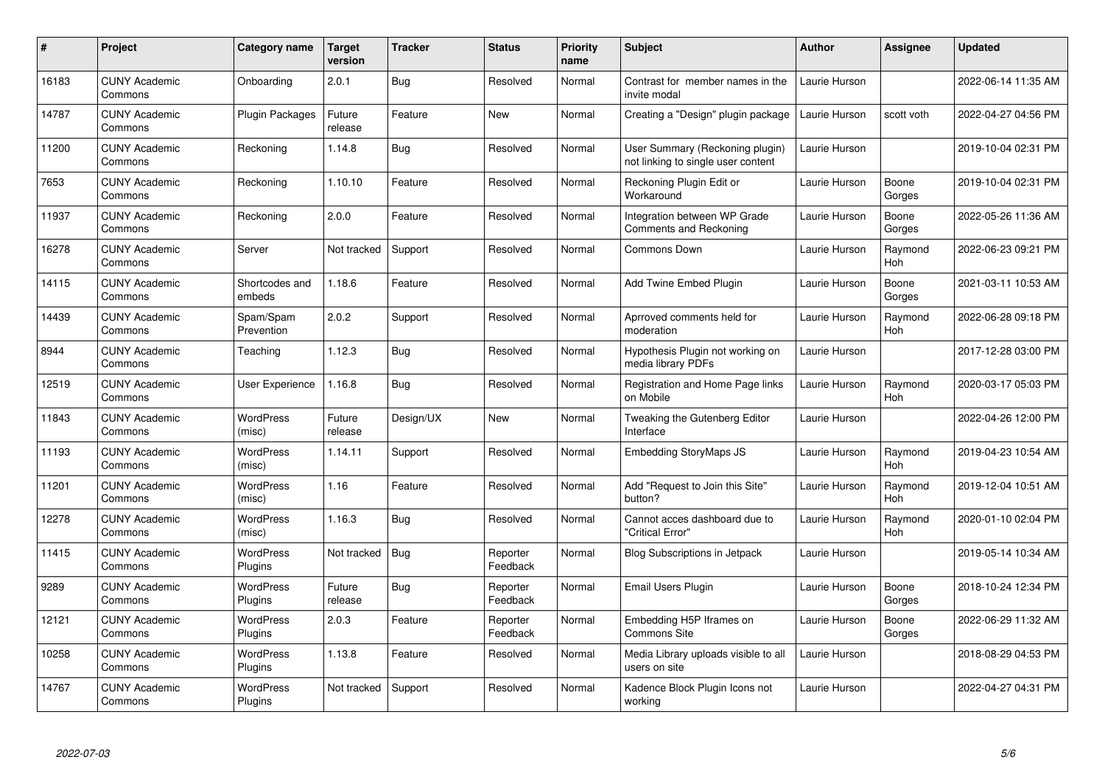| $\pmb{\#}$ | Project                         | Category name              | Target<br>version | <b>Tracker</b> | <b>Status</b>        | <b>Priority</b><br>name | <b>Subject</b>                                                        | <b>Author</b> | <b>Assignee</b>       | <b>Updated</b>      |
|------------|---------------------------------|----------------------------|-------------------|----------------|----------------------|-------------------------|-----------------------------------------------------------------------|---------------|-----------------------|---------------------|
| 16183      | <b>CUNY Academic</b><br>Commons | Onboarding                 | 2.0.1             | Bug            | Resolved             | Normal                  | Contrast for member names in the<br>invite modal                      | Laurie Hurson |                       | 2022-06-14 11:35 AM |
| 14787      | <b>CUNY Academic</b><br>Commons | <b>Plugin Packages</b>     | Future<br>release | Feature        | New                  | Normal                  | Creating a "Design" plugin package                                    | Laurie Hurson | scott voth            | 2022-04-27 04:56 PM |
| 11200      | <b>CUNY Academic</b><br>Commons | Reckoning                  | 1.14.8            | <b>Bug</b>     | Resolved             | Normal                  | User Summary (Reckoning plugin)<br>not linking to single user content | Laurie Hurson |                       | 2019-10-04 02:31 PM |
| 7653       | <b>CUNY Academic</b><br>Commons | Reckoning                  | 1.10.10           | Feature        | Resolved             | Normal                  | Reckoning Plugin Edit or<br>Workaround                                | Laurie Hurson | Boone<br>Gorges       | 2019-10-04 02:31 PM |
| 11937      | <b>CUNY Academic</b><br>Commons | Reckoning                  | 2.0.0             | Feature        | Resolved             | Normal                  | Integration between WP Grade<br>Comments and Reckoning                | Laurie Hurson | Boone<br>Gorges       | 2022-05-26 11:36 AM |
| 16278      | <b>CUNY Academic</b><br>Commons | Server                     | Not tracked       | Support        | Resolved             | Normal                  | Commons Down                                                          | Laurie Hurson | Raymond<br><b>Hoh</b> | 2022-06-23 09:21 PM |
| 14115      | <b>CUNY Academic</b><br>Commons | Shortcodes and<br>embeds   | 1.18.6            | Feature        | Resolved             | Normal                  | Add Twine Embed Plugin                                                | Laurie Hurson | Boone<br>Gorges       | 2021-03-11 10:53 AM |
| 14439      | <b>CUNY Academic</b><br>Commons | Spam/Spam<br>Prevention    | 2.0.2             | Support        | Resolved             | Normal                  | Aprroved comments held for<br>moderation                              | Laurie Hurson | Raymond<br>Hoh        | 2022-06-28 09:18 PM |
| 8944       | <b>CUNY Academic</b><br>Commons | Teaching                   | 1.12.3            | <b>Bug</b>     | Resolved             | Normal                  | Hypothesis Plugin not working on<br>media library PDFs                | Laurie Hurson |                       | 2017-12-28 03:00 PM |
| 12519      | <b>CUNY Academic</b><br>Commons | User Experience            | 1.16.8            | <b>Bug</b>     | Resolved             | Normal                  | Registration and Home Page links<br>on Mobile                         | Laurie Hurson | Raymond<br>Hoh        | 2020-03-17 05:03 PM |
| 11843      | <b>CUNY Academic</b><br>Commons | <b>WordPress</b><br>(misc) | Future<br>release | Design/UX      | New                  | Normal                  | Tweaking the Gutenberg Editor<br>Interface                            | Laurie Hurson |                       | 2022-04-26 12:00 PM |
| 11193      | <b>CUNY Academic</b><br>Commons | <b>WordPress</b><br>(misc) | 1.14.11           | Support        | Resolved             | Normal                  | <b>Embedding StoryMaps JS</b>                                         | Laurie Hurson | Raymond<br>Hoh        | 2019-04-23 10:54 AM |
| 11201      | <b>CUNY Academic</b><br>Commons | <b>WordPress</b><br>(misc) | 1.16              | Feature        | Resolved             | Normal                  | Add "Request to Join this Site"<br>button?                            | Laurie Hurson | Raymond<br>Hoh        | 2019-12-04 10:51 AM |
| 12278      | <b>CUNY Academic</b><br>Commons | <b>WordPress</b><br>(misc) | 1.16.3            | <b>Bug</b>     | Resolved             | Normal                  | Cannot acces dashboard due to<br>'Critical Error"                     | Laurie Hurson | Raymond<br>Hoh        | 2020-01-10 02:04 PM |
| 11415      | <b>CUNY Academic</b><br>Commons | WordPress<br>Plugins       | Not tracked       | Bug            | Reporter<br>Feedback | Normal                  | <b>Blog Subscriptions in Jetpack</b>                                  | Laurie Hurson |                       | 2019-05-14 10:34 AM |
| 9289       | <b>CUNY Academic</b><br>Commons | WordPress<br>Plugins       | Future<br>release | Bug            | Reporter<br>Feedback | Normal                  | Email Users Plugin                                                    | Laurie Hurson | Boone<br>Gorges       | 2018-10-24 12:34 PM |
| 12121      | <b>CUNY Academic</b><br>Commons | WordPress<br>Plugins       | 2.0.3             | Feature        | Reporter<br>Feedback | Normal                  | Embedding H5P Iframes on<br><b>Commons Site</b>                       | Laurie Hurson | Boone<br>Gorges       | 2022-06-29 11:32 AM |
| 10258      | <b>CUNY Academic</b><br>Commons | WordPress<br>Plugins       | 1.13.8            | Feature        | Resolved             | Normal                  | Media Library uploads visible to all<br>users on site                 | Laurie Hurson |                       | 2018-08-29 04:53 PM |
| 14767      | <b>CUNY Academic</b><br>Commons | WordPress<br>Plugins       | Not tracked       | Support        | Resolved             | Normal                  | Kadence Block Plugin Icons not<br>working                             | Laurie Hurson |                       | 2022-04-27 04:31 PM |